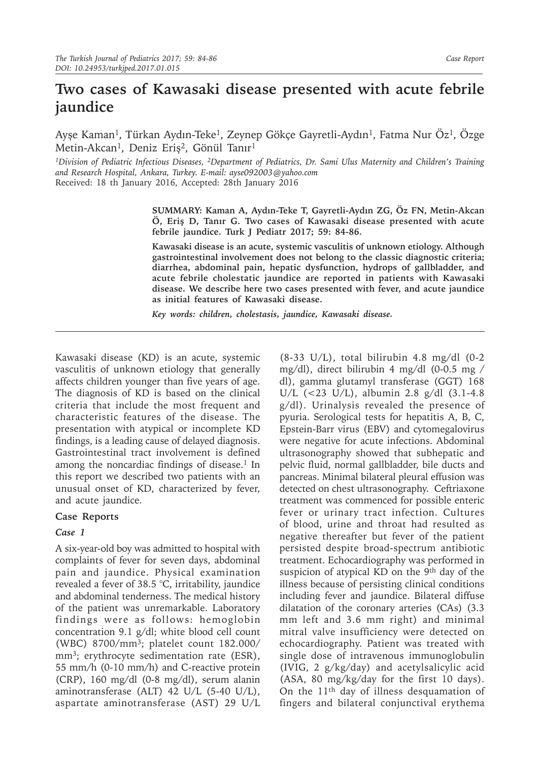# **Two cases of Kawasaki disease presented with acute febrile jaundice**

Ayşe Kaman<sup>1</sup>, Türkan Aydın-Teke<sup>1</sup>, Zeynep Gökçe Gayretli-Aydın<sup>1</sup>, Fatma Nur Öz<sup>1</sup>, Özge Metin-Akcan<sup>1</sup>, Deniz Eriş<sup>2</sup>, Gönül Tanır<sup>1</sup>

*1Division of Pediatric Infectious Diseases, 2Department of Pediatrics, Dr. Sami Ulus Maternity and Children's Training and Research Hospital, Ankara, Turkey. E-mail: ayse092003@yahoo.com* Received: 18 th January 2016, Accepted: 28th January 2016

> **SUMMARY: Kaman A, Aydın-Teke T, Gayretli-Aydın ZG, Öz FN, Metin-Akcan Ö, Eriş D, Tanır G. Two cases of Kawasaki disease presented with acute febrile jaundice. Turk J Pediatr 2017; 59: 84-86.**

> **Kawasaki disease is an acute, systemic vasculitis of unknown etiology. Although gastrointestinal involvement does not belong to the classic diagnostic criteria; diarrhea, abdominal pain, hepatic dysfunction, hydrops of gallbladder, and acute febrile cholestatic jaundice are reported in patients with Kawasaki disease. We describe here two cases presented with fever, and acute jaundice as initial features of Kawasaki disease.**

*Key words: children, cholestasis, jaundice, Kawasaki disease.*

Kawasaki disease (KD) is an acute, systemic vasculitis of unknown etiology that generally affects children younger than five years of age. The diagnosis of KD is based on the clinical criteria that include the most frequent and characteristic features of the disease. The presentation with atypical or incomplete KD findings, is a leading cause of delayed diagnosis. Gastrointestinal tract involvement is defined among the noncardiac findings of disease.<sup>1</sup> In this report we described two patients with an unusual onset of KD, characterized by fever, and acute jaundice.

### **Case Reports**

### *Case 1*

A six-year-old boy was admitted to hospital with complaints of fever for seven days, abdominal pain and jaundice. Physical examination revealed a fever of 38.5 °C, irritability, jaundice and abdominal tenderness. The medical history of the patient was unremarkable. Laboratory findings were as follows: hemoglobin concentration 9.1 g/dl; white blood cell count (WBC) 8700/mm3; platelet count 182.000/ mm<sup>3</sup>; erythrocyte sedimentation rate (ESR), 55 mm/h (0-10 mm/h) and C-reactive protein (CRP), 160 mg/dl (0-8 mg/dl), serum alanin aminotransferase (ALT) 42 U/L (5-40 U/L), aspartate aminotransferase (AST) 29 U/L

 $(8-33 \text{ U/L})$ , total bilirubin 4.8 mg/dl  $(0-2)$ mg/dl), direct bilirubin 4 mg/dl (0-0.5 mg / dl), gamma glutamyl transferase (GGT) 168 U/L (<23 U/L), albumin 2.8 g/dl (3.1-4.8 g/dl). Urinalysis revealed the presence of pyuria. Serological tests for hepatitis A, B, C, Epstein-Barr virus (EBV) and cytomegalovirus were negative for acute infections. Abdominal ultrasonography showed that subhepatic and pelvic fluid, normal gallbladder, bile ducts and pancreas. Minimal bilateral pleural effusion was detected on chest ultrasonography. Ceftriaxone treatment was commenced for possible enteric fever or urinary tract infection. Cultures of blood, urine and throat had resulted as negative thereafter but fever of the patient persisted despite broad-spectrum antibiotic treatment. Echocardiography was performed in suspicion of atypical KD on the 9<sup>th</sup> day of the illness because of persisting clinical conditions including fever and jaundice. Bilateral diffuse dilatation of the coronary arteries (CAs) (3.3 mm left and 3.6 mm right) and minimal mitral valve insufficiency were detected on echocardiography. Patient was treated with single dose of intravenous immunoglobulin (IVIG, 2 g/kg/day) and acetylsalicylic acid (ASA, 80 mg/kg/day for the first 10 days). On the 11th day of illness desquamation of fingers and bilateral conjunctival erythema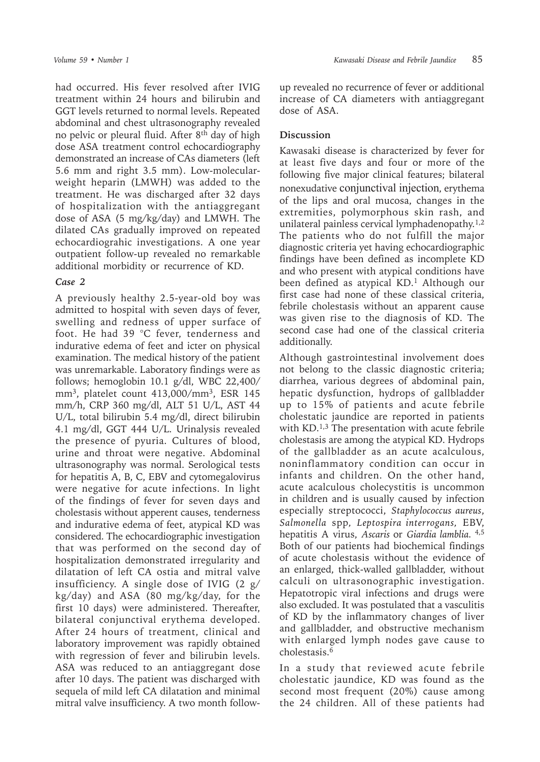had occurred. His fever resolved after IVIG treatment within 24 hours and bilirubin and GGT levels returned to normal levels. Repeated abdominal and chest ultrasonography revealed no pelvic or pleural fluid. After 8th day of high dose ASA treatment control echocardiography demonstrated an increase of CAs diameters (left 5.6 mm and right 3.5 mm). Low-molecularweight heparin (LMWH) was added to the treatment. He was discharged after 32 days of hospitalization with the antiaggregant dose of ASA (5 mg/kg/day) and LMWH. The dilated CAs gradually improved on repeated echocardiograhic investigations. A one year outpatient follow-up revealed no remarkable additional morbidity or recurrence of KD.

#### *Case 2*

A previously healthy 2.5-year-old boy was admitted to hospital with seven days of fever, swelling and redness of upper surface of foot. He had 39 °C fever, tenderness and indurative edema of feet and icter on physical examination. The medical history of the patient was unremarkable. Laboratory findings were as follows; hemoglobin 10.1 g/dl, WBC 22,400/ mm<sup>3</sup>, platelet count  $413,000/mm^3$ , ESR 145 mm/h, CRP 360 mg/dl, ALT 51 U/L, AST 44 U/L, total bilirubin 5.4 mg/dl, direct bilirubin 4.1 mg/dl, GGT 444 U/L. Urinalysis revealed the presence of pyuria. Cultures of blood, urine and throat were negative. Abdominal ultrasonography was normal. Serological tests for hepatitis A, B, C, EBV and cytomegalovirus were negative for acute infections. In light of the findings of fever for seven days and cholestasis without apperent causes, tenderness and indurative edema of feet, atypical KD was considered. The echocardiographic investigation that was performed on the second day of hospitalization demonstrated irregularity and dilatation of left CA ostia and mitral valve insufficiency. A single dose of IVIG  $(2 g)$ kg/day) and ASA (80 mg/kg/day, for the first 10 days) were administered. Thereafter, bilateral conjunctival erythema developed. After 24 hours of treatment, clinical and laboratory improvement was rapidly obtained with regression of fever and bilirubin levels. ASA was reduced to an antiaggregant dose after 10 days. The patient was discharged with sequela of mild left CA dilatation and minimal mitral valve insufficiency. A two month followup revealed no recurrence of fever or additional increase of CA diameters with antiaggregant dose of ASA.

## **Discussion**

Kawasaki disease is characterized by fever for at least five days and four or more of the following five major clinical features; bilateral nonexudative conjunctival injection, erythema of the lips and oral mucosa, changes in the extremities, polymorphous skin rash, and unilateral painless cervical lymphadenopathy.<sup>1,2</sup> The patients who do not fulfill the major diagnostic criteria yet having echocardiographic findings have been defined as incomplete KD and who present with atypical conditions have been defined as atypical KD.<sup>1</sup> Although our first case had none of these classical criteria, febrile cholestasis without an apparent cause was given rise to the diagnosis of KD. The second case had one of the classical criteria additionally.

Although gastrointestinal involvement does not belong to the classic diagnostic criteria; diarrhea, various degrees of abdominal pain, hepatic dysfunction, hydrops of gallbladder up to 15% of patients and acute febrile cholestatic jaundice are reported in patients with KD.<sup>1,3</sup> The presentation with acute febrile cholestasis are among the atypical KD. Hydrops of the gallbladder as an acute acalculous, noninflammatory condition can occur in infants and children. On the other hand, acute acalculous cholecystitis is uncommon in children and is usually caused by infection especially streptococci, *Staphylococcus aureus*, *Salmonella* spp*, Leptospira interrogans,* EBV, hepatitis A virus, *Ascaris* or *Giardia lamblia.* 4,5 Both of our patients had biochemical findings of acute cholestasis without the evidence of an enlarged, thick-walled gallbladder, without calculi on ultrasonographic investigation. Hepatotropic viral infections and drugs were also excluded. It was postulated that a vasculitis of KD by the inflammatory changes of liver and gallbladder, and obstructive mechanism with enlarged lymph nodes gave cause to cholestasis.6

In a study that reviewed acute febrile cholestatic jaundice, KD was found as the second most frequent (20%) cause among the 24 children. All of these patients had